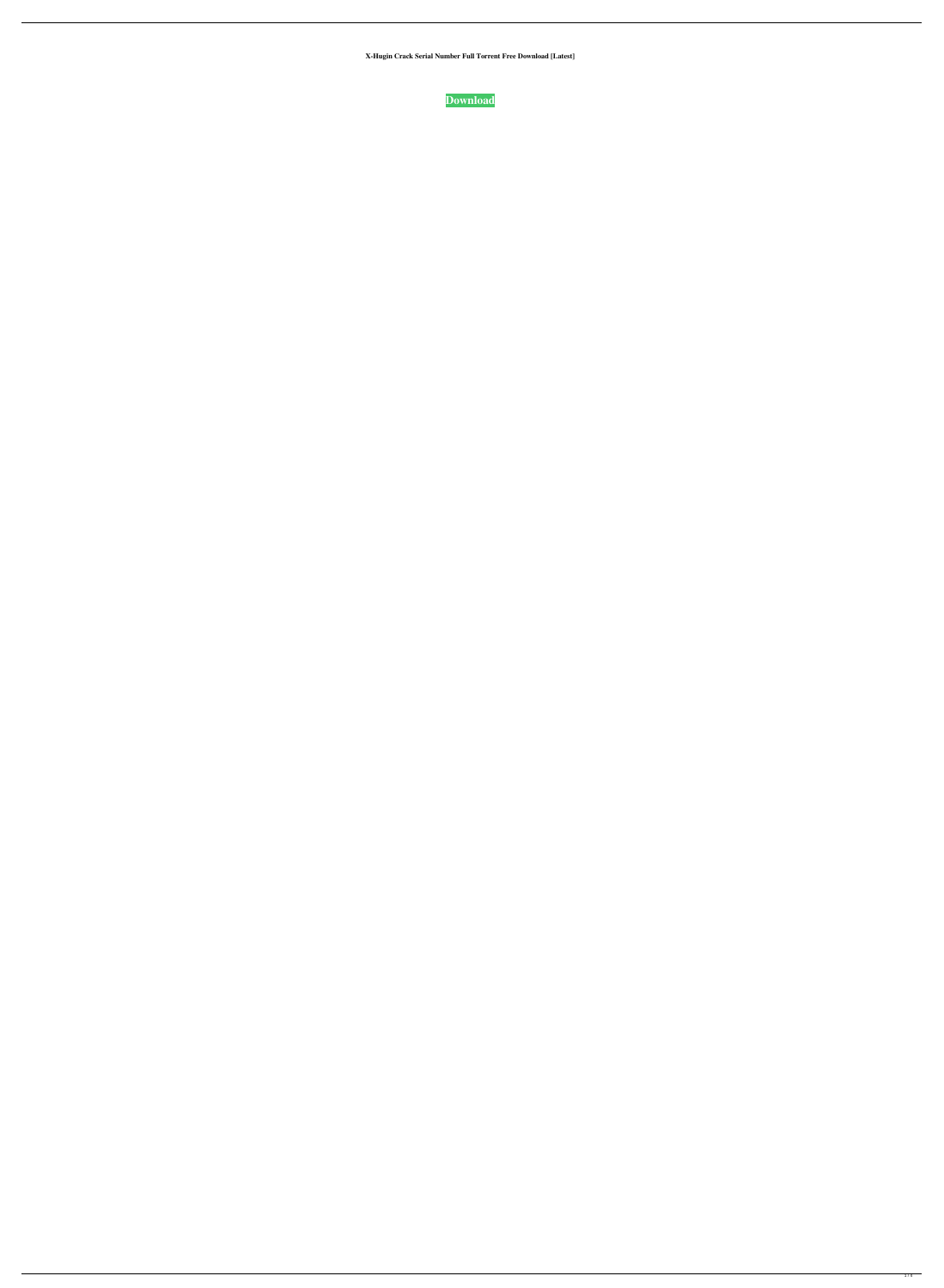**X-Hugin Crack Serial Number Full Torrent Free Download [Latest]**

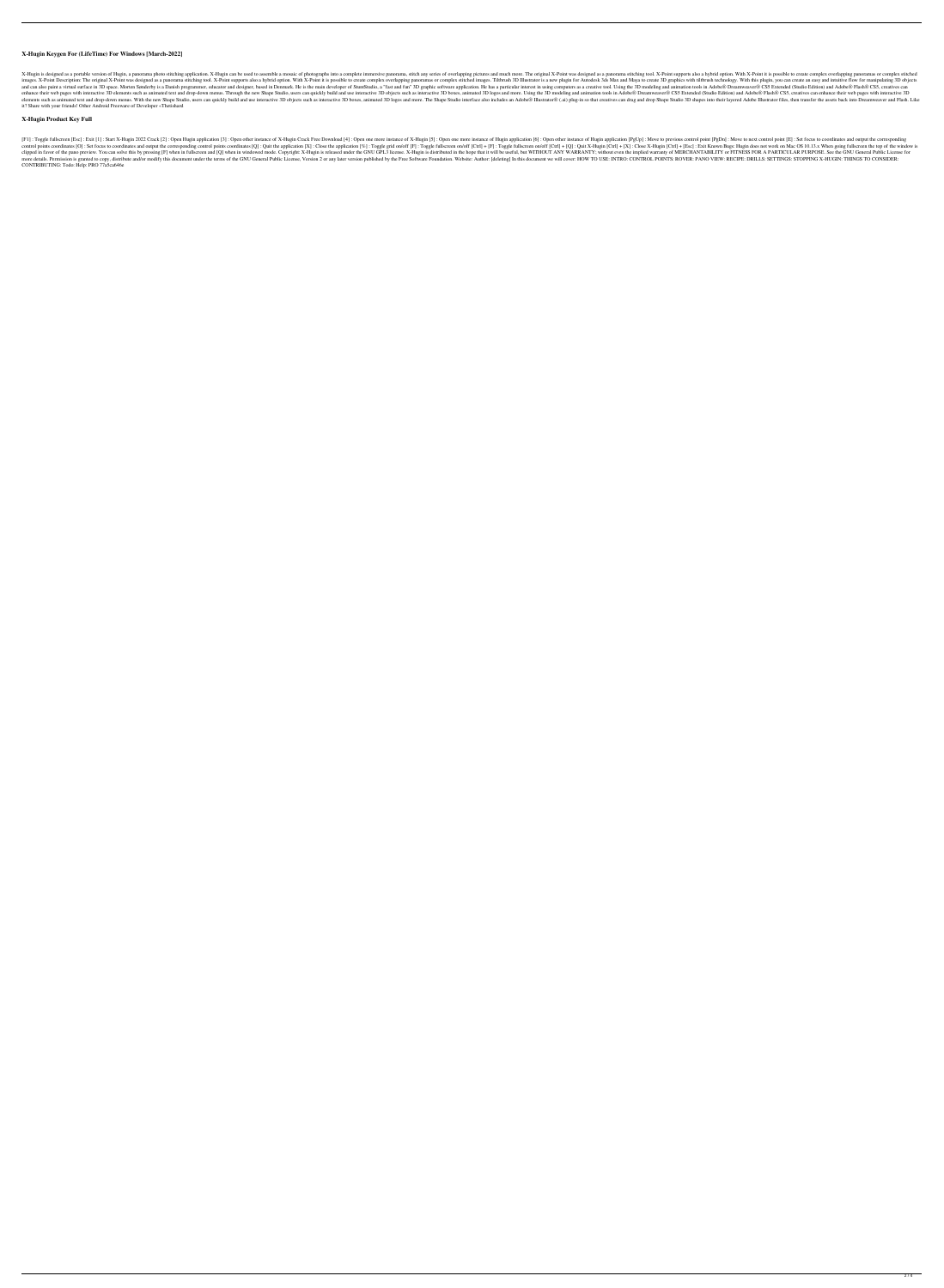### **X-Hugin Keygen For (LifeTime) For Windows [March-2022]**

X-Hugin is designed as a portable version of Hugin, a panorama photo stitching application. X-Hugin can be used to assemble a mosaic of photographs into a complete immersive panorama, stitch any series of overlapping pictu images. X-Point Description: The original X-Point was designed as a panorama stitching tool. X-Point supports also a hybrid option. With X-Point it is possible to create complex stitched images. Tiltbrush 3D Illustrator is and can also paint a virtual surface in 3D space. Morten Sønderby is a Danish programmer, educator and designer, based in Denmark. He is the main developer of StuntStudio, a "fast and fun" 3D graphic software application. enhance their web pages with interactive 3D elements such as animated text and drop-down menus. Through the new Shape Studio, users can quickly build and use interactive 3D objects such as interactive 3D boxes, animated 2D elements such as animated text and drop-down menus. With the new Shape Studio, users can quickly build and use interactive 3D objects such as interactive 3D boxes, animated 3D logos and more. The Shape Studio interface als it? Share with your friends! Other Android Freeware of Developer «Thetishard

[F1]: Toggle fullscreen [Esc]: Exit [1]: Start X-Hugin 2022 Crack [2]: Open Hugin application [3]: Open other instance of X-Hugin Crack Free Download [4]: Open one more instance of Hugin application [6]: Open other instanc control points coordinates [O]: Set focus to coordinates and output the corresponding control points coordinates and output the corresponding control points coordinates [Q]: Quit the application [X]: Close the application clipped in favor of the pano preview. You can solve this by pressing [F] when in fullscreen and [Q] when in windowed mode. Copyright: X-Hugin is released under the GNU GPL3 license. X-Hugin is distributed in the hope that nore details. Permission is granted to copy, distribute and/or modify this document under the terms of the GNU General Public License, Version 2 or any later version published by the Free Software Foundation. Website: Auth CONTRIBUTING: Todo: Help: PRO 77a5ca646e

## **X-Hugin Product Key Full**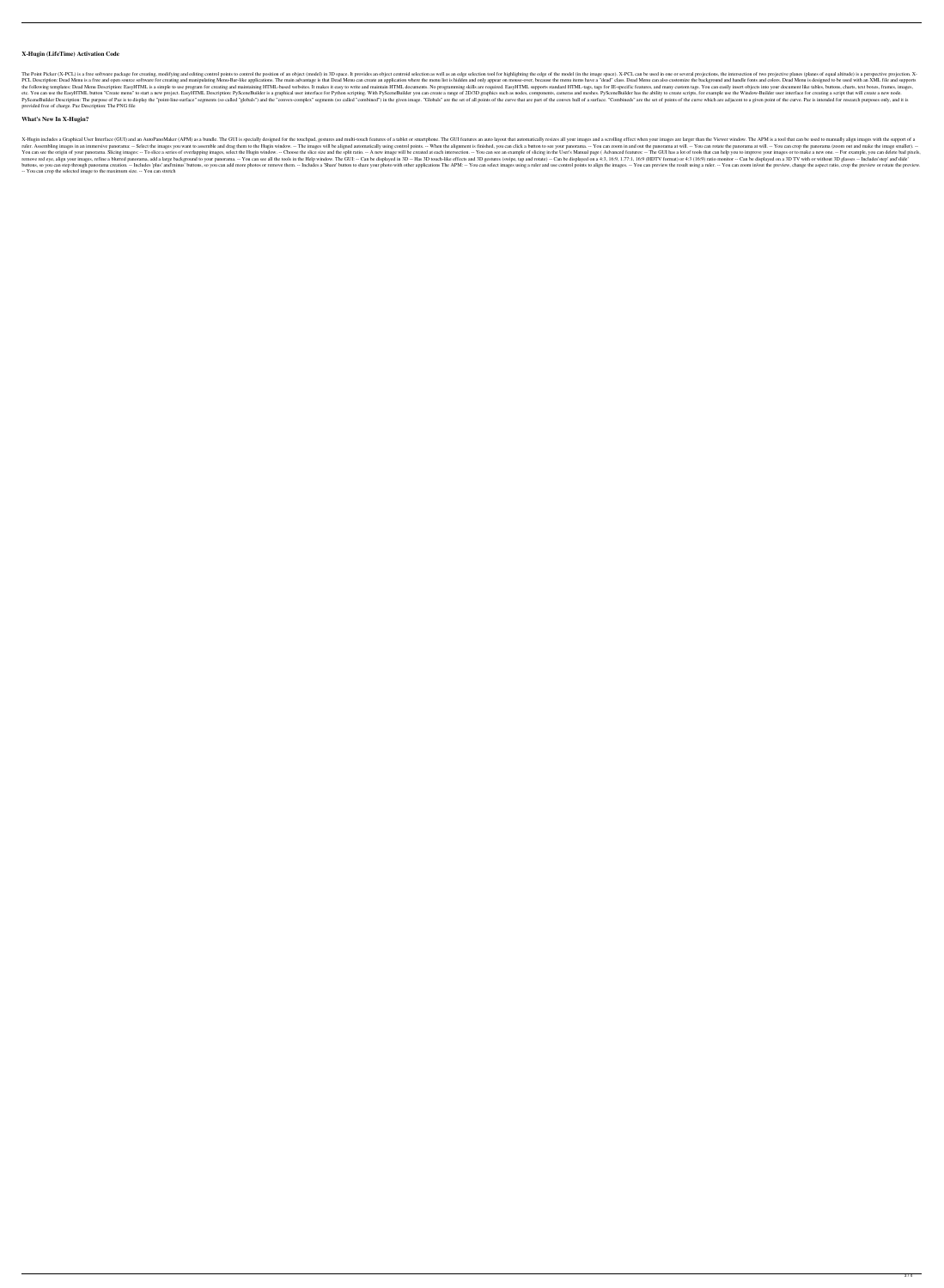## **X-Hugin (LifeTime) Activation Code**

The Point Picker (X-PCL) is a free software package for creating, modifying and editing control points to control the position of an object (model) in 3D space. It provides an object centroid selection as well as an edge s PCL Description: Dead Menu is a free and open source software for creating and manipulating Menu-Bar-like applications. The main advantage is that Dead Menu can create an application where the menu list is hidden and only the following templates: Dead Menu Description: EasyHTML is a simple to use program for creating and maintaining HTML-based websites. It makes it easy to write and maintain HTML documents. No programming skills are require etc. You can use the EasyHTML button "Create menu" to start a new project. EasyHTML Description: PySceneBuilder is a graphical user interface for Python scripting. With PySceneBuilder you can create a range of 2D/3D graphi PySceneBuilder Description: The purpose of Paz is to display the "point-line-surface" segments (so called "globals") and the "convex-complex" segments (so called "combined") in the given image. "Globals" are the set of poi provided free of charge. Paz Description: The PNG file

### **What's New In X-Hugin?**

X-Hugin includes a Graphical User Interface (GUI) and an AutoPanoMaker (APM) as a bundle. The GUI is specially designed for the touchpad, gestures and multi-touch features of a tablet or smartphone. The GUI features and a ruler. Assembling images in an immersive panorama: -- Select the images you want to assemble and drag them to the Hugin window. -- The images will be aligned automatically using control points. -- You can zoom in and out t You can see the origin of your panorama. Slicing images: -- To slice a series of overlapping images, select the Hugin window. -- Choose the slice size and the split ratio. -- A new image will be created at each intersectio The a blurred panorama, add a large background to your panorama. -- You can see all the tools in the Help window. The GUI: -- Can be displayed on a 4:3, 16:9, 1.77:1, 16:9 (HDTV format) or 4:3 (16:9) ratio monitor -- Can b buttons, so you can step through panorama creation. -- Includes 'plus' and'minus' buttons, so you can add more photos or remove them. -- Includes a 'Share' button to share your photo with other applications The APM: -- You -- You can crop the selected image to the maximum size. -- You can stretch